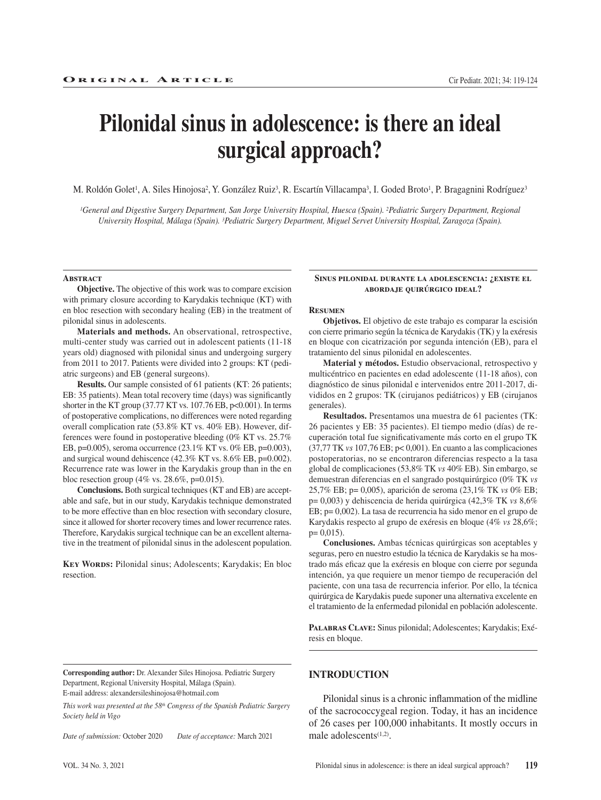# **Pilonidal sinus in adolescence: is there an ideal surgical approach?**

M. Roldón Golet<sup>1</sup>, A. Siles Hinojosa<sup>2</sup>, Y. González Ruiz<sup>3</sup>, R. Escartín Villacampa<sup>3</sup>, I. Goded Broto<sup>1</sup>, P. Bragagnini Rodríguez<sup>3</sup>

*1General and Digestive Surgery Department, San Jorge University Hospital, Huesca (Spain). 2Pediatric Surgery Department, Regional University Hospital, Málaga (Spain). 3Pediatric Surgery Department, Miguel Servet University Hospital, Zaragoza (Spain).* 

#### **Abstract**

**Objective.** The objective of this work was to compare excision with primary closure according to Karydakis technique (KT) with en bloc resection with secondary healing (EB) in the treatment of pilonidal sinus in adolescents.

**Materials and methods.** An observational, retrospective, multi-center study was carried out in adolescent patients (11-18 years old) diagnosed with pilonidal sinus and undergoing surgery from 2011 to 2017. Patients were divided into 2 groups: KT (pediatric surgeons) and EB (general surgeons).

**Results.** Our sample consisted of 61 patients (KT: 26 patients; EB: 35 patients). Mean total recovery time (days) was significantly shorter in the KT group (37.77 KT vs. 107.76 EB,  $p<0.001$ ). In terms of postoperative complications, no differences were noted regarding overall complication rate (53.8% KT vs. 40% EB). However, differences were found in postoperative bleeding (0% KT vs. 25.7% EB, p=0.005), seroma occurrence (23.1% KT vs. 0% EB, p=0.003), and surgical wound dehiscence (42.3% KT vs. 8.6% EB, p=0.002). Recurrence rate was lower in the Karydakis group than in the en bloc resection group (4% vs.  $28.6\%$ , p=0.015).

**Conclusions.** Both surgical techniques (KT and EB) are acceptable and safe, but in our study, Karydakis technique demonstrated to be more effective than en bloc resection with secondary closure, since it allowed for shorter recovery times and lower recurrence rates. Therefore, Karydakis surgical technique can be an excellent alternative in the treatment of pilonidal sinus in the adolescent population.

**KEY WORDS:** Pilonidal sinus; Adolescents; Karydakis; En bloc resection.

#### **Sinus pilonidal durante la adolescencia: ¿existe el abordaje quirúrgico ideal?**

## **Resumen**

**Objetivos.** El objetivo de este trabajo es comparar la escisión con cierre primario según la técnica de Karydakis (TK) y la exéresis en bloque con cicatrización por segunda intención (EB), para el tratamiento del sinus pilonidal en adolescentes.

**Material y métodos.** Estudio observacional, retrospectivo y multicéntrico en pacientes en edad adolescente (11-18 años), con diagnóstico de sinus pilonidal e intervenidos entre 2011-2017, divididos en 2 grupos: TK (cirujanos pediátricos) y EB (cirujanos generales).

**Resultados.** Presentamos una muestra de 61 pacientes (TK: 26 pacientes y EB: 35 pacientes). El tiempo medio (días) de recuperación total fue significativamente más corto en el grupo TK (37,77 TK *vs* 107,76 EB; p< 0,001). En cuanto a las complicaciones postoperatorias, no se encontraron diferencias respecto a la tasa global de complicaciones (53,8% TK *vs* 40% EB). Sin embargo, se demuestran diferencias en el sangrado postquirúrgico (0% TK *vs* 25,7% EB; p= 0,005), aparición de seroma (23,1% TK *vs* 0% EB; p= 0,003) y dehiscencia de herida quirúrgica (42,3% TK *vs* 8,6% EB; p= 0,002). La tasa de recurrencia ha sido menor en el grupo de Karydakis respecto al grupo de exéresis en bloque (4% *vs* 28,6%;  $p= 0,015$ ).

**Conclusiones.** Ambas técnicas quirúrgicas son aceptables y seguras, pero en nuestro estudio la técnica de Karydakis se ha mostrado más eficaz que la exéresis en bloque con cierre por segunda intención, ya que requiere un menor tiempo de recuperación del paciente, con una tasa de recurrencia inferior. Por ello, la técnica quirúrgica de Karydakis puede suponer una alternativa excelente en el tratamiento de la enfermedad pilonidal en población adolescente.

**Palabras Clave:** Sinus pilonidal; Adolescentes; Karydakis; Exéresis en bloque.

**Corresponding author:** Dr. Alexander Siles Hinojosa. Pediatric Surgery Department, Regional University Hospital, Málaga (Spain). E-mail address: alexandersileshinojosa@hotmail.com

*This work was presented at the 58th Congress of the Spanish Pediatric Surgery Society held in Vigo*

*Date of submission:* October 2020 *Date of acceptance:* March 2021

## **INTRODUCTION**

Pilonidal sinus is a chronic inflammation of the midline of the sacrococcygeal region. Today, it has an incidence of 26 cases per 100,000 inhabitants. It mostly occurs in male adolescents $(1,2)$ .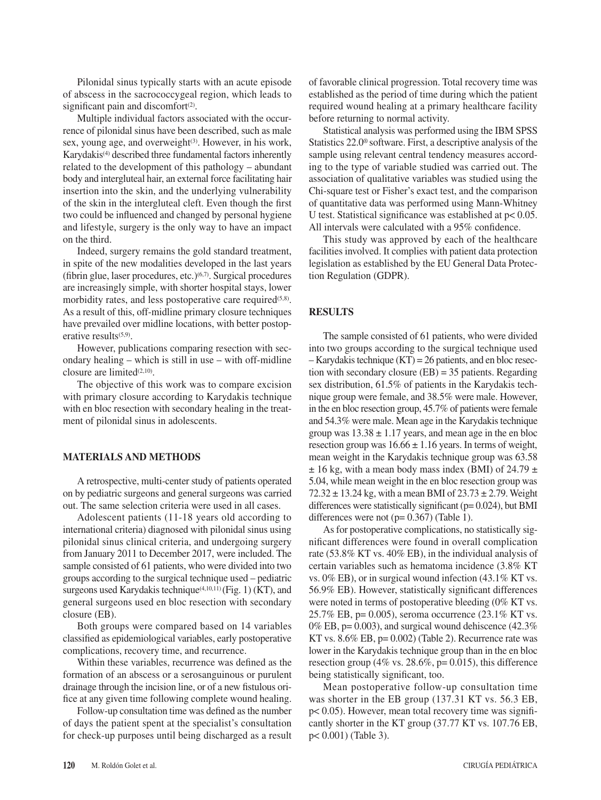Pilonidal sinus typically starts with an acute episode of abscess in the sacrococcygeal region, which leads to significant pain and discomfort $(2)$ .

Multiple individual factors associated with the occurrence of pilonidal sinus have been described, such as male sex, young age, and overweight<sup>(3)</sup>. However, in his work, Karydakis<sup>(4)</sup> described three fundamental factors inherently related to the development of this pathology – abundant body and intergluteal hair, an external force facilitating hair insertion into the skin, and the underlying vulnerability of the skin in the intergluteal cleft. Even though the first two could be influenced and changed by personal hygiene and lifestyle, surgery is the only way to have an impact on the third.

Indeed, surgery remains the gold standard treatment, in spite of the new modalities developed in the last years (fibrin glue, laser procedures, etc.) $(6,7)$ . Surgical procedures are increasingly simple, with shorter hospital stays, lower morbidity rates, and less postoperative care required $(5,8)$ . As a result of this, off-midline primary closure techniques have prevailed over midline locations, with better postoperative results<sup>(5,9)</sup>.

However, publications comparing resection with secondary healing – which is still in use – with off-midline closure are limited $(2,10)$ .

The objective of this work was to compare excision with primary closure according to Karydakis technique with en bloc resection with secondary healing in the treatment of pilonidal sinus in adolescents.

## **MATERIALS AND METHODS**

A retrospective, multi-center study of patients operated on by pediatric surgeons and general surgeons was carried out. The same selection criteria were used in all cases.

Adolescent patients (11-18 years old according to international criteria) diagnosed with pilonidal sinus using pilonidal sinus clinical criteria, and undergoing surgery from January 2011 to December 2017, were included. The sample consisted of 61 patients, who were divided into two groups according to the surgical technique used – pediatric surgeons used Karydakis technique<sup>(4,10,11)</sup> (Fig. 1) (KT), and general surgeons used en bloc resection with secondary closure (EB).

Both groups were compared based on 14 variables classified as epidemiological variables, early postoperative complications, recovery time, and recurrence.

Within these variables, recurrence was defined as the formation of an abscess or a serosanguinous or purulent drainage through the incision line, or of a new fistulous orifice at any given time following complete wound healing.

Follow-up consultation time was defined as the number of days the patient spent at the specialist's consultation for check-up purposes until being discharged as a result of favorable clinical progression. Total recovery time was established as the period of time during which the patient required wound healing at a primary healthcare facility before returning to normal activity.

Statistical analysis was performed using the IBM SPSS Statistics 22.0® software. First, a descriptive analysis of the sample using relevant central tendency measures according to the type of variable studied was carried out. The association of qualitative variables was studied using the Chi-square test or Fisher's exact test, and the comparison of quantitative data was performed using Mann-Whitney U test. Statistical significance was established at p< 0.05. All intervals were calculated with a 95% confidence.

This study was approved by each of the healthcare facilities involved. It complies with patient data protection legislation as established by the EU General Data Protection Regulation (GDPR).

## **RESULTS**

The sample consisted of 61 patients, who were divided into two groups according to the surgical technique used – Karydakis technique (KT) = 26 patients, and en bloc resection with secondary closure  $(EB) = 35$  patients. Regarding sex distribution, 61.5% of patients in the Karydakis technique group were female, and 38.5% were male. However, in the en bloc resection group, 45.7% of patients were female and 54.3% were male. Mean age in the Karydakis technique group was  $13.38 \pm 1.17$  years, and mean age in the en bloc resection group was  $16.66 \pm 1.16$  years. In terms of weight, mean weight in the Karydakis technique group was 63.58  $\pm$  16 kg, with a mean body mass index (BMI) of 24.79  $\pm$ 5.04, while mean weight in the en bloc resection group was 72.32  $\pm$  13.24 kg, with a mean BMI of 23.73  $\pm$  2.79. Weight differences were statistically significant ( $p= 0.024$ ), but BMI differences were not  $(p= 0.367)$  (Table 1).

As for postoperative complications, no statistically significant differences were found in overall complication rate (53.8% KT vs. 40% EB), in the individual analysis of certain variables such as hematoma incidence (3.8% KT vs. 0% EB), or in surgical wound infection (43.1% KT vs. 56.9% EB). However, statistically significant differences were noted in terms of postoperative bleeding (0% KT vs. 25.7% EB, p= 0.005), seroma occurrence (23.1% KT vs. 0% EB,  $p= 0.003$ ), and surgical wound dehiscence (42.3%) KT vs.  $8.6\%$  EB, p= 0.002) (Table 2). Recurrence rate was lower in the Karydakis technique group than in the en bloc resection group (4% vs. 28.6%,  $p = 0.015$ ), this difference being statistically significant, too.

Mean postoperative follow-up consultation time was shorter in the EB group (137.31 KT vs. 56.3 EB, p< 0.05). However, mean total recovery time was significantly shorter in the KT group (37.77 KT vs. 107.76 EB, p< 0.001) (Table 3).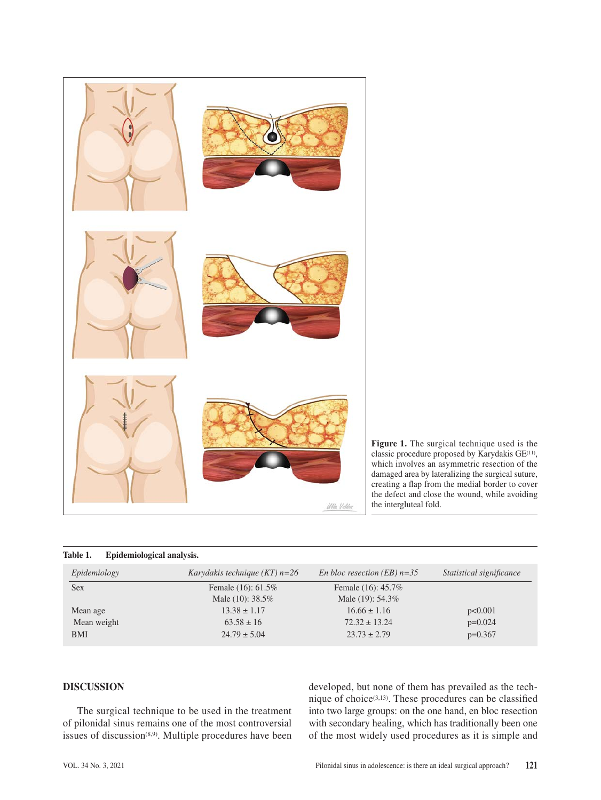

**Figure 1.** The surgical technique used is the classic procedure proposed by Karydakis GE(11), which involves an asymmetric resection of the damaged area by lateralizing the surgical suture, creating a flap from the medial border to cover the defect and close the wound, while avoiding the intergluteal fold.

## **Table 1. Epidemiological analysis.**

| Epidemiology | Karydakis technique (KT) $n=26$ | En bloc resection (EB) $n=35$ | Statistical significance |
|--------------|---------------------------------|-------------------------------|--------------------------|
| <b>Sex</b>   | Female $(16)$ : 61.5%           | Female (16): 45.7%            |                          |
|              | Male $(10)$ : 38.5%             | Male $(19)$ : 54.3%           |                          |
| Mean age     | $13.38 \pm 1.17$                | $16.66 \pm 1.16$              | p<0.001                  |
| Mean weight  | $63.58 \pm 16$                  | $72.32 \pm 13.24$             | $p=0.024$                |
| BMI          | $24.79 \pm 5.04$                | $23.73 \pm 2.79$              | $p=0.367$                |

# **DISCUSSION**

The surgical technique to be used in the treatment of pilonidal sinus remains one of the most controversial issues of discussion<sup>(8,9)</sup>. Multiple procedures have been

developed, but none of them has prevailed as the technique of choice<sup> $(3,13)$ </sup>. These procedures can be classified into two large groups: on the one hand, en bloc resection with secondary healing, which has traditionally been one of the most widely used procedures as it is simple and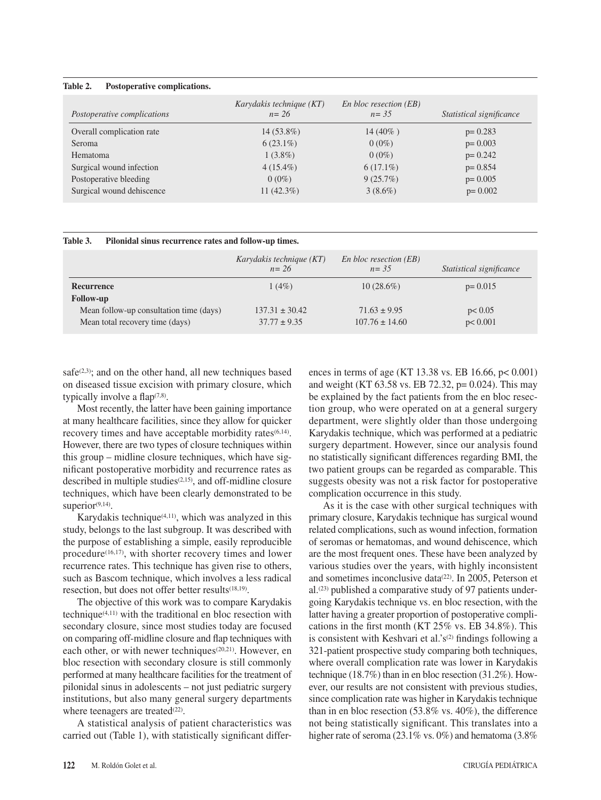## **Table 2. Postoperative complications.**

| Postoperative complications | Karydakis technique (KT)<br>$n = 26$ | En bloc resection (EB)<br>$n = 3.5$ | Statistical significance |
|-----------------------------|--------------------------------------|-------------------------------------|--------------------------|
| Overall complication rate   | $14(53.8\%)$                         | $14(40\%)$                          | $p = 0.283$              |
| <b>Seroma</b>               | $6(23.1\%)$                          | $0(0\%)$                            | $p = 0.003$              |
| Hematoma                    | $1(3.8\%)$                           | $0(0\%)$                            | $p = 0.242$              |
| Surgical wound infection    | $4(15.4\%)$                          | $6(17.1\%)$                         | $p = 0.854$              |
| Postoperative bleeding      | $0(0\%)$                             | 9(25.7%)                            | $p = 0.005$              |
| Surgical wound dehiscence   | 11 $(42.3\%)$                        | $3(8.6\%)$                          | $p = 0.002$              |

## **Table 3. Pilonidal sinus recurrence rates and follow-up times.**

|                                                                            | Karydakis technique (KT)<br>$n = 26$   | En bloc resection (EB)<br>$n = 35$     | Statistical significance |
|----------------------------------------------------------------------------|----------------------------------------|----------------------------------------|--------------------------|
| Recurrence<br><b>Follow-up</b>                                             | $1(4\%)$                               | $10(28.6\%)$                           | $p = 0.015$              |
| Mean follow-up consultation time (days)<br>Mean total recovery time (days) | $137.31 \pm 30.42$<br>$37.77 \pm 9.35$ | $71.63 \pm 9.95$<br>$107.76 \pm 14.60$ | p < 0.05<br>p < 0.001    |

safe $(2,3)$ ; and on the other hand, all new techniques based on diseased tissue excision with primary closure, which typically involve a flap $(7,8)$ .

Most recently, the latter have been gaining importance at many healthcare facilities, since they allow for quicker recovery times and have acceptable morbidity rates<sup>(6,14)</sup>. However, there are two types of closure techniques within this group – midline closure techniques, which have significant postoperative morbidity and recurrence rates as described in multiple studies(2,15), and off-midline closure techniques, which have been clearly demonstrated to be superior<sup>(9,14)</sup>.

Karydakis technique $(4,11)$ , which was analyzed in this study, belongs to the last subgroup. It was described with the purpose of establishing a simple, easily reproducible procedure $(16,17)$ , with shorter recovery times and lower recurrence rates. This technique has given rise to others, such as Bascom technique, which involves a less radical resection, but does not offer better results(18,19).

The objective of this work was to compare Karydakis technique(4,11) with the traditional en bloc resection with secondary closure, since most studies today are focused on comparing off-midline closure and flap techniques with each other, or with newer techniques<sup>(20,21)</sup>. However, en bloc resection with secondary closure is still commonly performed at many healthcare facilities for the treatment of pilonidal sinus in adolescents – not just pediatric surgery institutions, but also many general surgery departments where teenagers are treated<sup>(22)</sup>.

A statistical analysis of patient characteristics was carried out (Table 1), with statistically significant differences in terms of age (KT 13.38 vs. EB 16.66, p< 0.001) and weight (KT 63.58 vs. EB 72.32, p= 0.024). This may be explained by the fact patients from the en bloc resection group, who were operated on at a general surgery department, were slightly older than those undergoing Karydakis technique, which was performed at a pediatric surgery department. However, since our analysis found no statistically significant differences regarding BMI, the two patient groups can be regarded as comparable. This suggests obesity was not a risk factor for postoperative complication occurrence in this study.

As it is the case with other surgical techniques with primary closure, Karydakis technique has surgical wound related complications, such as wound infection, formation of seromas or hematomas, and wound dehiscence, which are the most frequent ones. These have been analyzed by various studies over the years, with highly inconsistent and sometimes inconclusive data<sup>(22)</sup>. In 2005, Peterson et al.(23) published a comparative study of 97 patients undergoing Karydakis technique vs. en bloc resection, with the latter having a greater proportion of postoperative complications in the first month (KT 25% vs. EB 34.8%). This is consistent with Keshvari et al.'s<sup>(2)</sup> findings following a 321-patient prospective study comparing both techniques, where overall complication rate was lower in Karydakis technique (18.7%) than in en bloc resection (31.2%). However, our results are not consistent with previous studies, since complication rate was higher in Karydakis technique than in en bloc resection (53.8% vs. 40%), the difference not being statistically significant. This translates into a higher rate of seroma (23.1% vs. 0%) and hematoma (3.8%)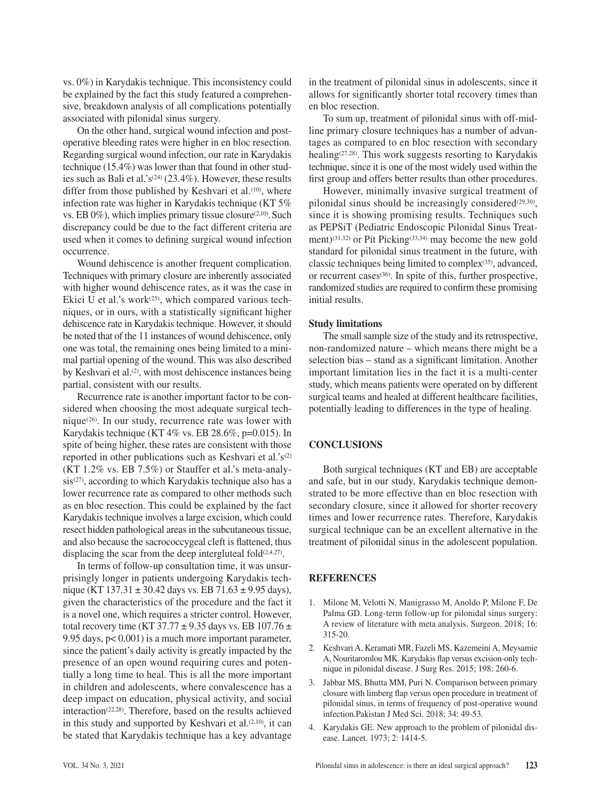vs. 0%) in Karydakis technique. This inconsistency could be explained by the fact this study featured a comprehensive, breakdown analysis of all complications potentially associated with pilonidal sinus surgery.

On the other hand, surgical wound infection and postoperative bleeding rates were higher in en bloc resection. Regarding surgical wound infection, our rate in Karydakis technique (15.4%) was lower than that found in other studies such as Bali et al.'s<sup>(24)</sup> (23.4%). However, these results differ from those published by Keshvari et al.<sup>(10)</sup>, where infection rate was higher in Karydakis technique (KT 5% vs. EB  $0\%$ ), which implies primary tissue closure<sup>(2,10)</sup>. Such discrepancy could be due to the fact different criteria are used when it comes to defining surgical wound infection occurrence.

Wound dehiscence is another frequent complication. Techniques with primary closure are inherently associated with higher wound dehiscence rates, as it was the case in Ekici U et al.'s work $(25)$ , which compared various techniques, or in ours, with a statistically significant higher dehiscence rate in Karydakis technique. However, it should be noted that of the 11 instances of wound dehiscence, only one was total, the remaining ones being limited to a minimal partial opening of the wound. This was also described by Keshvari et al.<sup>(2)</sup>, with most dehiscence instances being partial, consistent with our results.

Recurrence rate is another important factor to be considered when choosing the most adequate surgical technique $(26)$ . In our study, recurrence rate was lower with Karydakis technique (KT 4% vs. EB 28.6%, p=0.015). In spite of being higher, these rates are consistent with those reported in other publications such as Keshvari et al.'s<sup>(2)</sup> (KT 1.2% vs. EB 7.5%) or Stauffer et al.'s meta-analysis<sup>(27)</sup>, according to which Karydakis technique also has a lower recurrence rate as compared to other methods such as en bloc resection. This could be explained by the fact Karydakis technique involves a large excision, which could resect hidden pathological areas in the subcutaneous tissue, and also because the sacrococcygeal cleft is flattened, thus displacing the scar from the deep intergluteal fold $(2,4,27)$ .

In terms of follow-up consultation time, it was unsurprisingly longer in patients undergoing Karydakis technique (KT 137.31  $\pm$  30.42 days vs. EB 71.63  $\pm$  9.95 days), given the characteristics of the procedure and the fact it is a novel one, which requires a stricter control. However, total recovery time (KT 37.77  $\pm$  9.35 days vs. EB 107.76  $\pm$ 9.95 days, p< 0.001) is a much more important parameter, since the patient's daily activity is greatly impacted by the presence of an open wound requiring cures and potentially a long time to heal. This is all the more important in children and adolescents, where convalescence has a deep impact on education, physical activity, and social interaction(22,28). Therefore, based on the results achieved in this study and supported by Keshvari et al.<sup>(2,10)</sup>, it can be stated that Karydakis technique has a key advantage

in the treatment of pilonidal sinus in adolescents, since it allows for significantly shorter total recovery times than en bloc resection.

To sum up, treatment of pilonidal sinus with off-midline primary closure techniques has a number of advantages as compared to en bloc resection with secondary healing(27,28). This work suggests resorting to Karydakis technique, since it is one of the most widely used within the first group and offers better results than other procedures.

However, minimally invasive surgical treatment of pilonidal sinus should be increasingly considered $(29,30)$ , since it is showing promising results. Techniques such as PEPSiT (Pediatric Endoscopic Pilonidal Sinus Treatment)<sup>(31,32)</sup> or Pit Picking<sup>(33,34)</sup> may become the new gold standard for pilonidal sinus treatment in the future, with classic techniques being limited to complex(35), advanced, or recurrent cases<sup>(36)</sup>. In spite of this, further prospective, randomized studies are required to confirm these promising initial results.

## **Study limitations**

The small sample size of the study and its retrospective, non-randomized nature – which means there might be a selection bias – stand as a significant limitation. Another important limitation lies in the fact it is a multi-center study, which means patients were operated on by different surgical teams and healed at different healthcare facilities, potentially leading to differences in the type of healing.

## **CONCLUSIONS**

Both surgical techniques (KT and EB) are acceptable and safe, but in our study, Karydakis technique demonstrated to be more effective than en bloc resection with secondary closure, since it allowed for shorter recovery times and lower recurrence rates. Therefore, Karydakis surgical technique can be an excellent alternative in the treatment of pilonidal sinus in the adolescent population.

## **REFERENCES**

- 1. Milone M, Velotti N, Manigrasso M, Anoldo P, Milone F, De Palma GD. Long-term follow-up for pilonidal sinus surgery: A review of literature with meta analysis. Surgeon. 2018; 16: 315-20.
- 2. Keshvari A, Keramati MR, Fazeli MS, Kazemeini A, Meysamie A, Nouritaromlou MK. Karydakis flap versus excision-only technique in pilonidal disease. J Surg Res. 2015; 198: 260-6.
- 3. Jabbar MS, Bhutta MM, Puri N. Comparison between primary closure with limberg flap versus open procedure in treatment of pilonidal sinus, in terms of frequency of post-operative wound infection.Pakistan J Med Sci. 2018; 34: 49-53.
- 4. Karydakis GE. New approach to the problem of pilonidal disease. Lancet. 1973; 2: 1414-5.